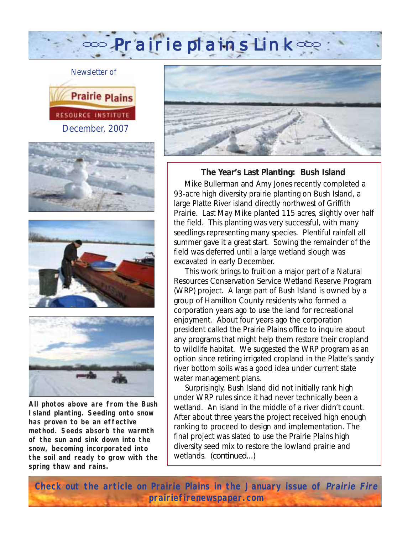os Prairie plains Link os









**All photos above are from the Bush Island planting. Seeding onto snow has proven to be an effective method. Seeds absorb the warmth of the sun and sink down into the snow, becoming incorporated into the soil and ready to grow with the spring thaw and rains.**



**The Year's Last Planting: Bush Island**

 Mike Bullerman and Amy Jones recently completed a 93-acre high diversity prairie planting on Bush Island, a large Platte River island directly northwest of Griffith Prairie. Last May Mike planted 115 acres, slightly over half the field. This planting was very successful, with many seedlings representing many species. Plentiful rainfall all summer gave it a great start. Sowing the remainder of the field was deferred until a large wetland slough was excavated in early December.

 This work brings to fruition a major part of a Natural Resources Conservation Service Wetland Reserve Program (WRP) project. A large part of Bush Island is owned by a group of Hamilton County residents who formed a corporation years ago to use the land for recreational enjoyment. About four years ago the corporation president called the Prairie Plains office to inquire about any programs that might help them restore their cropland to wildlife habitat. We suggested the WRP program as an option since retiring irrigated cropland in the Platte's sandy river bottom soils was a good idea under current state water management plans.

 Surprisingly, Bush Island did not initially rank high under WRP rules since it had never technically been a wetland. An island in the middle of a river didn't count. After about three years the project received high enough ranking to proceed to design and implementation. The final project was slated to use the Prairie Plains high diversity seed mix to restore the lowland prairie and wetlands. (*continued*...)

**Check out the article on Prairie Plains in the January issue of Prairie Fire prairiefirenewspaper.com**